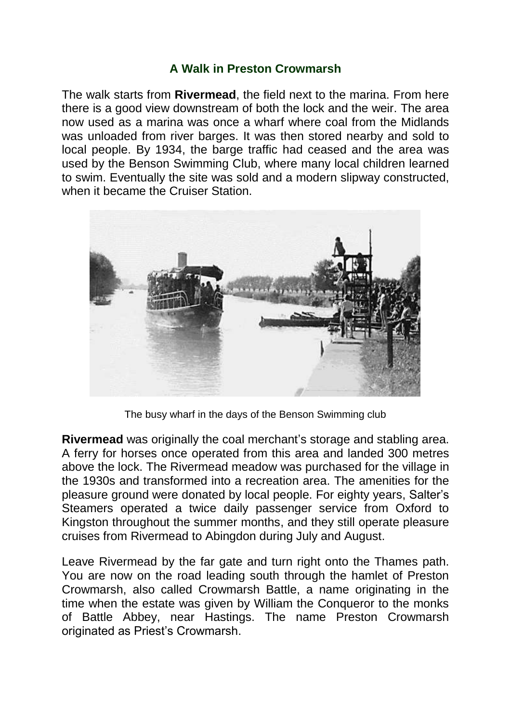## **A Walk in Preston Crowmarsh**

The walk starts from **Rivermead**, the field next to the marina. From here there is a good view downstream of both the lock and the weir. The area now used as a marina was once a wharf where coal from the Midlands was unloaded from river barges. It was then stored nearby and sold to local people. By 1934, the barge traffic had ceased and the area was used by the Benson Swimming Club, where many local children learned to swim. Eventually the site was sold and a modern slipway constructed, when it became the Cruiser Station.



The busy wharf in the days of the Benson Swimming club

**Rivermead** was originally the coal merchant's storage and stabling area. A ferry for horses once operated from this area and landed 300 metres above the lock. The Rivermead meadow was purchased for the village in the 1930s and transformed into a recreation area. The amenities for the pleasure ground were donated by local people. For eighty years, Salter's Steamers operated a twice daily passenger service from Oxford to Kingston throughout the summer months, and they still operate pleasure cruises from Rivermead to Abingdon during July and August.

Leave Rivermead by the far gate and turn right onto the Thames path. You are now on the road leading south through the hamlet of Preston Crowmarsh, also called Crowmarsh Battle, a name originating in the time when the estate was given by William the Conqueror to the monks of Battle Abbey, near Hastings. The name Preston Crowmarsh originated as Priest's Crowmarsh.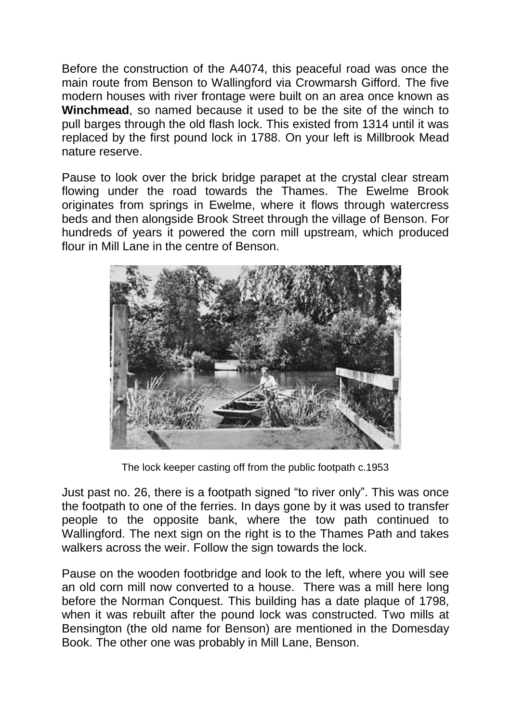Before the construction of the A4074, this peaceful road was once the main route from Benson to Wallingford via Crowmarsh Gifford. The five modern houses with river frontage were built on an area once known as **Winchmead**, so named because it used to be the site of the winch to pull barges through the old flash lock. This existed from 1314 until it was replaced by the first pound lock in 1788. On your left is Millbrook Mead nature reserve.

Pause to look over the brick bridge parapet at the crystal clear stream flowing under the road towards the Thames. The Ewelme Brook originates from springs in Ewelme, where it flows through watercress beds and then alongside Brook Street through the village of Benson. For hundreds of years it powered the corn mill upstream, which produced flour in Mill Lane in the centre of Benson.



The lock keeper casting off from the public footpath c.1953

Just past no. 26, there is a footpath signed "to river only". This was once the footpath to one of the ferries. In days gone by it was used to transfer people to the opposite bank, where the tow path continued to Wallingford. The next sign on the right is to the Thames Path and takes walkers across the weir. Follow the sign towards the lock.

Pause on the wooden footbridge and look to the left, where you will see an old corn mill now converted to a house. There was a mill here long before the Norman Conquest. This building has a date plaque of 1798, when it was rebuilt after the pound lock was constructed. Two mills at Bensington (the old name for Benson) are mentioned in the Domesday Book. The other one was probably in Mill Lane, Benson.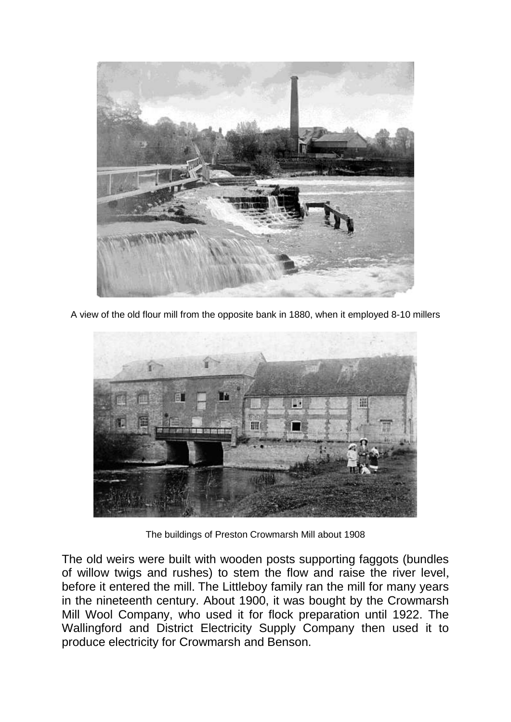

A view of the old flour mill from the opposite bank in 1880, when it employed 8-10 millers



The buildings of Preston Crowmarsh Mill about 1908

The old weirs were built with wooden posts supporting faggots (bundles of willow twigs and rushes) to stem the flow and raise the river level, before it entered the mill. The Littleboy family ran the mill for many years in the nineteenth century. About 1900, it was bought by the Crowmarsh Mill Wool Company, who used it for flock preparation until 1922. The Wallingford and District Electricity Supply Company then used it to produce electricity for Crowmarsh and Benson.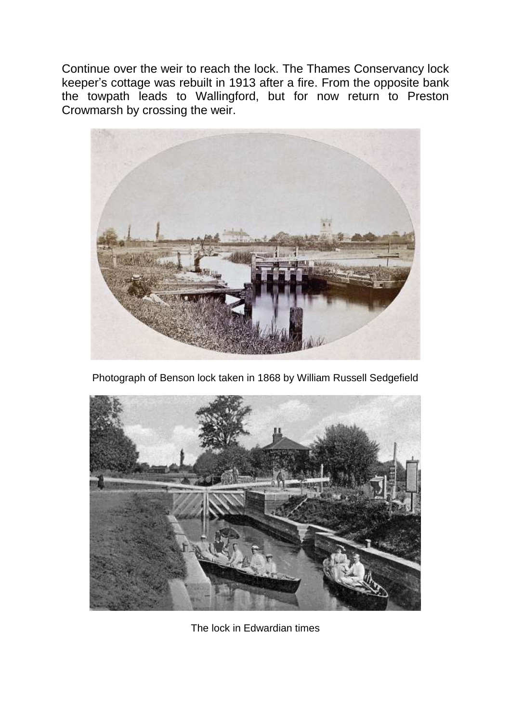Continue over the weir to reach the lock. The Thames Conservancy lock keeper's cottage was rebuilt in 1913 after a fire. From the opposite bank the towpath leads to Wallingford, but for now return to Preston Crowmarsh by crossing the weir.



Photograph of Benson lock taken in 1868 by William Russell Sedgefield



The lock in Edwardian times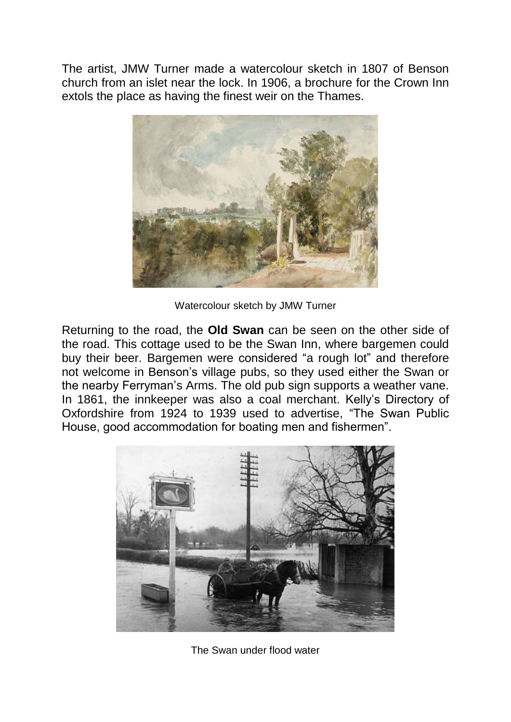The artist, JMW Turner made a watercolour sketch in 1807 of Benson church from an islet near the lock. In 1906, a brochure for the Crown Inn extols the place as having the finest weir on the Thames.



Watercolour sketch by JMW Turner

Returning to the road, the **Old Swan** can be seen on the other side of the road. This cottage used to be the Swan Inn, where bargemen could buy their beer. Bargemen were considered "a rough lot" and therefore not welcome in Benson's village pubs, so they used either the Swan or the nearby Ferryman's Arms. The old pub sign supports a weather vane. In 1861, the innkeeper was also a coal merchant. Kelly's Directory of Oxfordshire from 1924 to 1939 used to advertise, "The Swan Public House, good accommodation for boating men and fishermen".



The Swan under flood water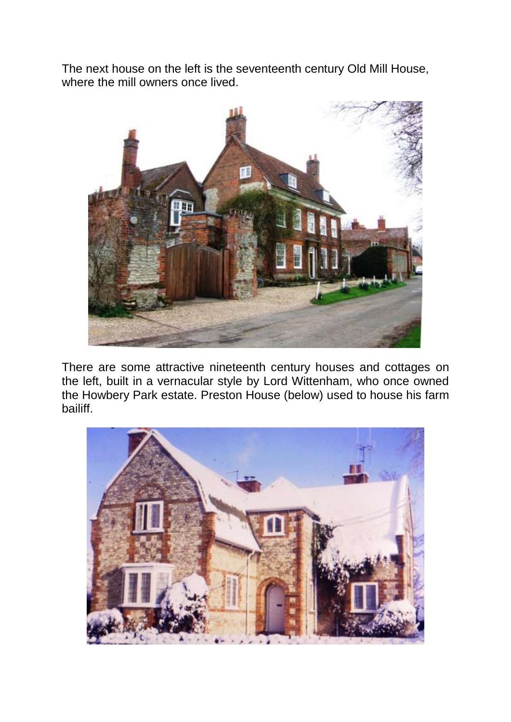The next house on the left is the seventeenth century Old Mill House, where the mill owners once lived.



There are some attractive nineteenth century houses and cottages on the left, built in a vernacular style by Lord Wittenham, who once owned the Howbery Park estate. Preston House (below) used to house his farm bailiff.

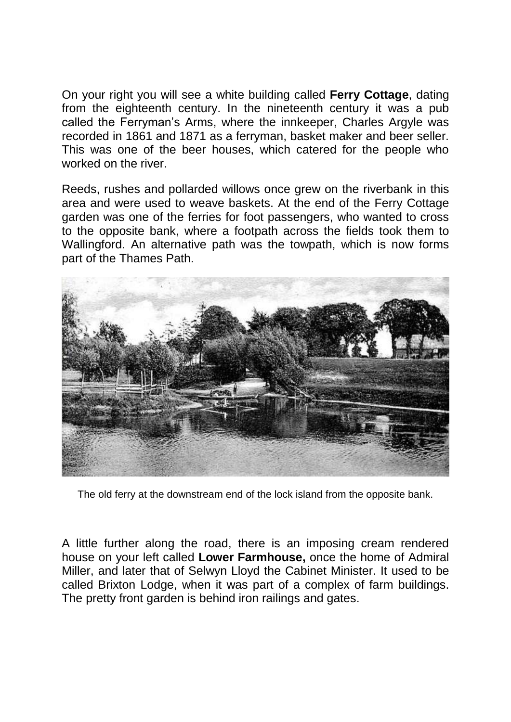On your right you will see a white building called **Ferry Cottage**, dating from the eighteenth century. In the nineteenth century it was a pub called the Ferryman's Arms, where the innkeeper, Charles Argyle was recorded in 1861 and 1871 as a ferryman, basket maker and beer seller. This was one of the beer houses, which catered for the people who worked on the river.

Reeds, rushes and pollarded willows once grew on the riverbank in this area and were used to weave baskets. At the end of the Ferry Cottage garden was one of the ferries for foot passengers, who wanted to cross to the opposite bank, where a footpath across the fields took them to Wallingford. An alternative path was the towpath, which is now forms part of the Thames Path.



The old ferry at the downstream end of the lock island from the opposite bank.

A little further along the road, there is an imposing cream rendered house on your left called **Lower Farmhouse,** once the home of Admiral Miller, and later that of Selwyn Lloyd the Cabinet Minister. It used to be called Brixton Lodge, when it was part of a complex of farm buildings. The pretty front garden is behind iron railings and gates.